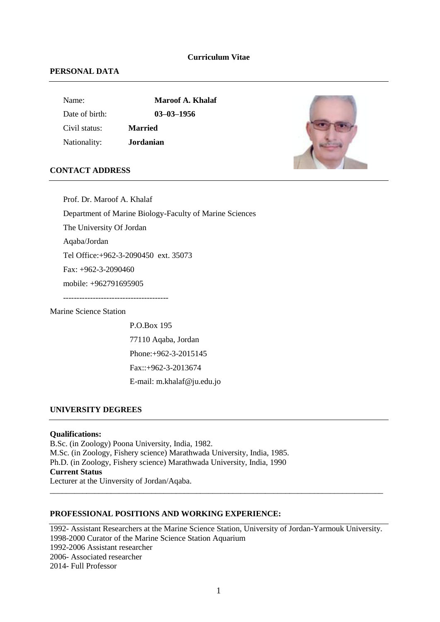### **Curriculum Vitae**

### **PERSONAL DATA**

Name: **Maroof A. Khalaf** 

Date of birth: **03–03–1956** Civil status: **Married**

Nationality: **Jordanian**

### **CONTACT ADDRESS**

Prof. Dr. Maroof A. Khalaf Department of Marine Biology-Faculty of Marine Sciences The University Of Jordan Aqaba/Jordan Tel Office:+962-3-2090450 ext. 35073 Fax: +962-3-2090460 mobile: +962791695905 ---------------------------------------

Marine Science Station

P.O.Box 195 77110 Aqaba, Jordan Phone:+962-3-2015145 Fax::+962-3-2013674 E-mail: m.khalaf@ju.edu.jo

### **UNIVERSITY DEGREES**

## **Qualifications:**

B.Sc. (in Zoology) Poona University, India, 1982. M.Sc. (in Zoology, Fishery science) Marathwada University, India, 1985. Ph.D. (in Zoology, Fishery science) Marathwada University, India, 1990 **Current Status** Lecturer at the Uinversity of Jordan/Aqaba.

# **PROFESSIONAL POSITIONS AND WORKING EXPERIENCE:**

1992- Assistant Researchers at the Marine Science Station, University of Jordan-Yarmouk University. 1998-2000 Curator of the Marine Science Station Aquarium 1992-2006 Assistant researcher 2006- Associated researcher 2014- Full Professor

\_\_\_\_\_\_\_\_\_\_\_\_\_\_\_\_\_\_\_\_\_\_\_\_\_\_\_\_\_\_\_\_\_\_\_\_\_\_\_\_\_\_\_\_\_\_\_\_\_\_\_\_\_\_\_\_\_\_\_\_\_\_\_\_\_\_\_\_\_\_\_\_\_\_\_\_\_\_\_\_\_\_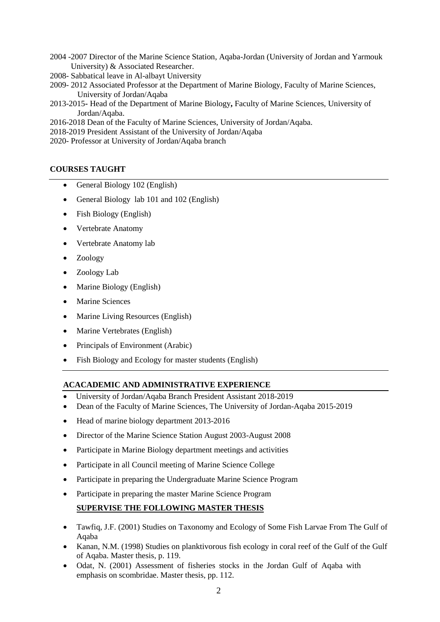- 2004 -2007 Director of the Marine Science Station, Aqaba-Jordan (University of Jordan and Yarmouk University) & Associated Researcher.
- 2008- Sabbatical leave in Al-albayt University
- 2009- 2012 Associated Professor at the Department of Marine Biology, Faculty of Marine Sciences, University of Jordan/Aqaba
- 2013-2015**-** Head of the Department of Marine Biology**,** Faculty of Marine Sciences, University of Jordan/Aqaba.
- 2016-2018 Dean of the Faculty of Marine Sciences, University of Jordan/Aqaba.
- 2018-2019 President Assistant of the University of Jordan/Aqaba
- 2020- Professor at University of Jordan/Aqaba branch

# **COURSES TAUGHT**

- General Biology 102 (English)
- General Biology lab 101 and 102 (English)
- Fish Biology (English)
- Vertebrate Anatomy
- Vertebrate Anatomy lab
- Zoology
- Zoology Lab
- Marine Biology (English)
- Marine Sciences
- Marine Living Resources (English)
- Marine Vertebrates (English)
- Principals of Environment (Arabic)
- Fish Biology and Ecology for master students (English)

# **ACACADEMIC AND ADMINISTRATIVE EXPERIENCE**

- University of Jordan/Aqaba Branch President Assistant 2018-2019
- Dean of the Faculty of Marine Sciences, The University of Jordan-Aqaba 2015-2019
- Head of marine biology department 2013-2016
- Director of the Marine Science Station August 2003-August 2008
- Participate in Marine Biology department meetings and activities
- Participate in all Council meeting of Marine Science College
- Participate in preparing the Undergraduate Marine Science Program
- Participate in preparing the master Marine Science Program

# **SUPERVISE THE FOLLOWING MASTER THESIS**

- Tawfiq, J.F. (2001) Studies on Taxonomy and Ecology of Some Fish Larvae From The Gulf of Aqaba
- Kanan, N.M. (1998) Studies on planktivorous fish ecology in coral reef of the Gulf of the Gulf of Aqaba. Master thesis, p. 119.
- Odat, N. (2001) Assessment of fisheries stocks in the Jordan Gulf of Aqaba with emphasis on scombridae. Master thesis, pp. 112.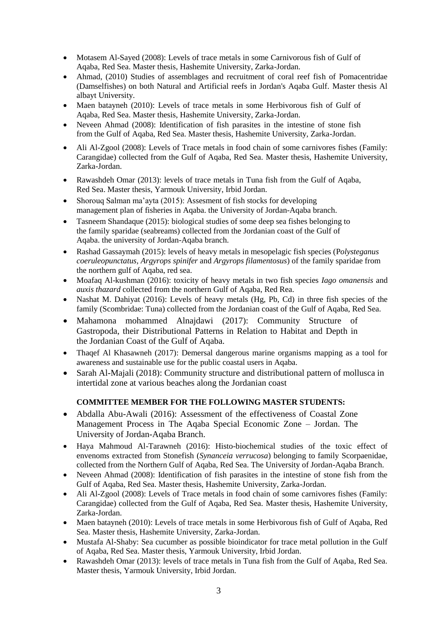- Motasem Al-Sayed (2008): Levels of trace metals in some Carnivorous fish of Gulf of Aqaba, Red Sea. Master thesis, Hashemite University, Zarka-Jordan.
- Ahmad, (2010) Studies of assemblages and recruitment of coral reef fish of Pomacentridae (Damselfishes) on both Natural and Artificial reefs in Jordan's Aqaba Gulf. Master thesis Al albayt University.
- Maen batayneh (2010): Levels of trace metals in some Herbivorous fish of Gulf of Aqaba, Red Sea. Master thesis, Hashemite University, Zarka-Jordan.
- Neveen Ahmad (2008): Identification of fish parasites in the intestine of stone fish from the Gulf of Aqaba, Red Sea. Master thesis, Hashemite University, Zarka-Jordan.
- Ali Al-Zgool (2008): Levels of Trace metals in food chain of some carnivores fishes (Family: [Carangidae\)](http://www.fishbase.com/Summary/FamilySummary.cfm?ID=314) collected from the Gulf of Aqaba, Red Sea. Master thesis, Hashemite University, Zarka-Jordan.
- Rawashdeh Omar (2013): levels of trace metals in Tuna fish from the Gulf of Aqaba, Red Sea. Master thesis, Yarmouk University, Irbid Jordan.
- Shorouq Salman ma'ayta (2015): Assesment of fish stocks for developing management plan of fisheries in Aqaba. the University of Jordan-Aqaba branch.
- Tasneem Shandaque (2015): biological studies of some deep sea fishes belonging to the family sparidae (seabreams) collected from the Jordanian coast of the Gulf of Aqaba. the university of Jordan-Aqaba branch.
- Rashad Gassaymah (2015): levels of heavy metals in mesopelagic fish species (P*olysteganus coeruleopunctatus, Argyrops spinifer* and *Argyrops filamentosus*) of the family sparidae from the northern gulf of Aqaba, red sea.
- Moafaq Al-kushman (2016): toxicity of heavy metals in two fish species *Iago omanensis* and *auxis thazard* collected from the northern Gulf of Aqaba, Red Rea.
- Nashat M. Dahiyat (2016): Levels of heavy metals (Hg, Pb, Cd) in three fish species of the family (Scombridae: Tuna) collected from the Jordanian coast of the Gulf of Aqaba, Red Sea.
- Mahamona mohammed Alnajdawi (2017): Community Structure of Gastropoda, their Distributional Patterns in Relation to Habitat and Depth in the Jordanian Coast of the Gulf of Aqaba.
- Thaqef Al Khasawneh (2017): Demersal dangerous marine organisms mapping as a tool for awareness and sustainable use for the public coastal users in Aqaba.
- Sarah Al-Majali (2018): Community structure and distributional pattern of mollusca in intertidal zone at various beaches along the Jordanian coast

# **COMMITTEE MEMBER FOR THE FOLLOWING MASTER STUDENTS:**

- Abdalla Abu-Awali (2016): Assessment of the effectiveness of Coastal Zone Management Process in The Aqaba Special Economic Zone – Jordan. The University of Jordan-Aqaba Branch.
- Haya Mahmoud Al-Tarawneh (2016): Histo-biochemical studies of the toxic effect of envenoms extracted from Stonefish (*Synanceia verrucosa*) belonging to family Scorpaenidae, collected from the Northern Gulf of Aqaba, Red Sea. The University of Jordan-Aqaba Branch.
- Neveen Ahmad (2008): Identification of fish parasites in the intestine of stone fish from the Gulf of Aqaba, Red Sea. Master thesis, Hashemite University, Zarka-Jordan.
- Ali Al-Zgool (2008): Levels of Trace metals in food chain of some carnivores fishes (Family: Carangidae) collected from the Gulf of Aqaba, Red Sea. Master thesis, Hashemite University, Zarka-Jordan.
- Maen batayneh (2010): Levels of trace metals in some Herbivorous fish of Gulf of Aqaba, Red Sea. Master thesis, Hashemite University, Zarka-Jordan.
- Mustafa Al-Shaby: Sea cucumber as possible bioindicator for trace metal pollution in the Gulf of Aqaba, Red Sea. Master thesis, Yarmouk University, Irbid Jordan.
- Rawashdeh Omar (2013): levels of trace metals in Tuna fish from the Gulf of Aqaba, Red Sea. Master thesis, Yarmouk University, Irbid Jordan.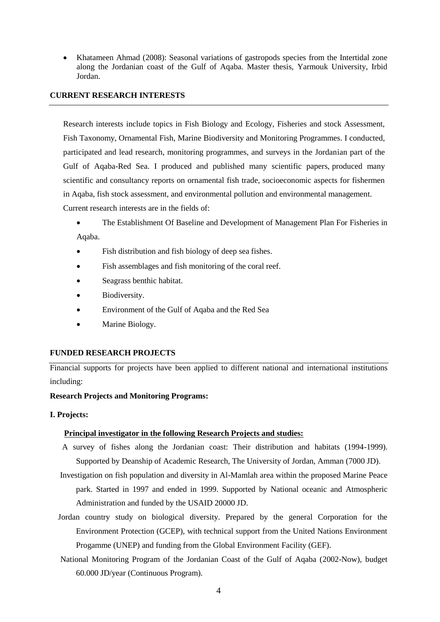Khatameen Ahmad (2008): Seasonal variations of gastropods species from the Intertidal zone along the Jordanian coast of the Gulf of Aqaba. Master thesis, Yarmouk University, Irbid Jordan.

### **CURRENT RESEARCH INTERESTS**

Research interests include topics in Fish Biology and Ecology, Fisheries and stock Assessment, Fish Taxonomy, Ornamental Fish, Marine Biodiversity and Monitoring Programmes. I conducted, participated and lead research, monitoring programmes, and surveys in the Jordanian part of the Gulf of Aqaba-Red Sea. I produced and published many scientific papers, produced many scientific and consultancy reports on ornamental fish trade, socioeconomic aspects for fishermen in Aqaba, fish stock assessment, and environmental pollution and environmental management. Current research interests are in the fields of:

The Establishment Of Baseline and Development of Management Plan For Fisheries in

Aqaba.

- Fish distribution and fish biology of deep sea fishes.
- Fish assemblages and fish monitoring of the coral reef.
- Seagrass benthic habitat.
- Biodiversity.
- Environment of the Gulf of Aqaba and the Red Sea
- Marine Biology.

# **FUNDED RESEARCH PROJECTS**

Financial supports for projects have been applied to different national and international institutions including:

# **Research Projects and Monitoring Programs:**

# **I. Projects:**

# **Principal investigator in the following Research Projects and studies:**

- A survey of fishes along the Jordanian coast: Their distribution and habitats (1994-1999). Supported by Deanship of Academic Research, The University of Jordan, Amman (7000 JD).
- Investigation on fish population and diversity in Al-Mamlah area within the proposed Marine Peace park. Started in 1997 and ended in 1999. Supported by National oceanic and Atmospheric Administration and funded by the USAID 20000 JD.
- Jordan country study on biological diversity. Prepared by the general Corporation for the Environment Protection (GCEP), with technical support from the United Nations Environment Progamme (UNEP) and funding from the Global Environment Facility (GEF).
- National Monitoring Program of the Jordanian Coast of the Gulf of Aqaba (2002-Now), budget 60.000 JD/year (Continuous Program).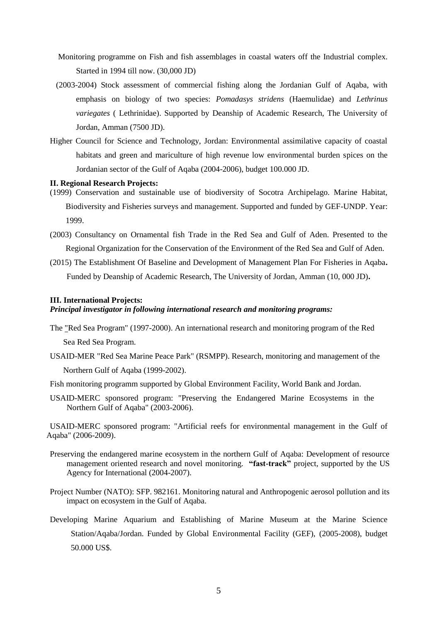- Monitoring programme on Fish and fish assemblages in coastal waters off the Industrial complex. Started in 1994 till now. (30,000 JD)
- (2003-2004) Stock assessment of commercial fishing along the Jordanian Gulf of Aqaba, with emphasis on biology of two species: *Pomadasys stridens* (Haemulidae) and *Lethrinus variegates* ( Lethrinidae). Supported by Deanship of Academic Research, The University of Jordan, Amman (7500 JD).
- Higher Council for Science and Technology, Jordan: Environmental assimilative capacity of coastal habitats and green and mariculture of high revenue low environmental burden spices on the Jordanian sector of the Gulf of Aqaba (2004-2006), budget 100.000 JD.

#### **II. Regional Research Projects:**

- (1999) Conservation and sustainable use of biodiversity of Socotra Archipelago. Marine Habitat, Biodiversity and Fisheries surveys and management. Supported and funded by GEF-UNDP. Year: 1999.
- (2003) Consultancy on Ornamental fish Trade in the Red Sea and Gulf of Aden. Presented to the Regional Organization for the Conservation of the Environment of the Red Sea and Gulf of Aden.
- (2015) The Establishment Of Baseline and Development of Management Plan For Fisheries in Aqaba**.**  Funded by Deanship of Academic Research, The University of Jordan, Amman (10, 000 JD)**.**

#### **III. International Projects:**

### *Principal investigator in following international research and monitoring programs:*

The "Red Sea Program" (1997-2000). An international research and monitoring program of the Red Sea Red Sea Program.

- USAID-MER "Red Sea Marine Peace Park" (RSMPP). Research, monitoring and management of the Northern Gulf of Aqaba (1999-2002).
- Fish monitoring programm supported by Global Environment Facility, World Bank and Jordan.
- USAID-MERC sponsored program: "Preserving the Endangered Marine Ecosystems in the Northern Gulf of Aqaba" (2003-2006).

USAID-MERC sponsored program: "Artificial reefs for environmental management in the Gulf of Aqaba" (2006-2009).

- Preserving the endangered marine ecosystem in the northern Gulf of Aqaba: Development of resource management oriented research and novel monitoring. **"fast-track"** project, supported by the US Agency for International (2004-2007).
- Project Number (NATO): SFP. 982161. Monitoring natural and Anthropogenic aerosol pollution and its impact on ecosystem in the Gulf of Aqaba.
- Developing Marine Aquarium and Establishing of Marine Museum at the Marine Science Station/Aqaba/Jordan. Funded by Global Environmental Facility (GEF), (2005-2008), budget 50.000 US\$.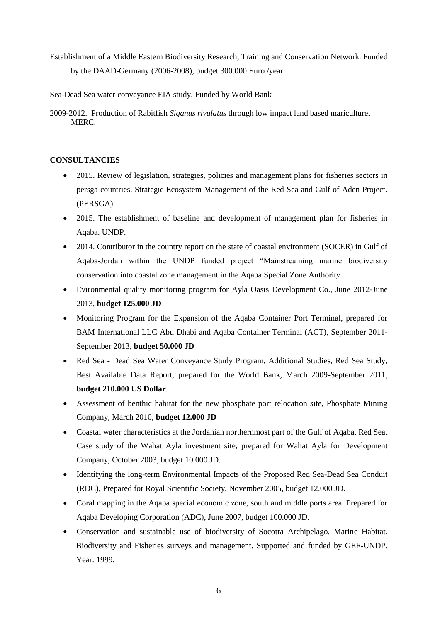- Establishment of a Middle Eastern Biodiversity Research, Training and Conservation Network. Funded by the DAAD-Germany (2006-2008), budget 300.000 Euro /year.
- Sea-Dead Sea water conveyance EIA study. Funded by World Bank
- 2009-2012. Production of Rabitfish *Siganus rivulatus* through low impact land based mariculture. MERC.

# **CONSULTANCIES**

- 2015. Review of legislation, strategies, policies and management plans for fisheries sectors in persga countries. Strategic Ecosystem Management of the Red Sea and Gulf of Aden Project. (PERSGA)
- 2015. The establishment of baseline and development of management plan for fisheries in Aqaba. UNDP.
- 2014. Contributor in the country report on the state of coastal environment (SOCER) in Gulf of Aqaba-Jordan within the UNDP funded project "Mainstreaming marine biodiversity conservation into coastal zone management in the Aqaba Special Zone Authority.
- Evironmental quality monitoring program for Ayla Oasis Development Co., June 2012-June 2013, **budget 125.000 JD**
- Monitoring Program for the Expansion of the Aqaba Container Port Terminal, prepared for BAM International LLC Abu Dhabi and Aqaba Container Terminal (ACT), September 2011- September 2013, **budget 50.000 JD**
- Red Sea Dead Sea Water Conveyance Study Program, Additional Studies, Red Sea Study, Best Available Data Report, prepared for the World Bank, March 2009-September 2011, **budget 210.000 US Dollar**.
- Assessment of benthic habitat for the new phosphate port relocation site, Phosphate Mining Company, March 2010, **budget 12.000 JD**
- Coastal water characteristics at the Jordanian northernmost part of the Gulf of Aqaba, Red Sea. Case study of the Wahat Ayla investment site, prepared for Wahat Ayla for Development Company, October 2003, budget 10.000 JD.
- Identifying the long-term Environmental Impacts of the Proposed Red Sea-Dead Sea Conduit (RDC), Prepared for Royal Scientific Society, November 2005, budget 12.000 JD.
- Coral mapping in the Aqaba special economic zone, south and middle ports area. Prepared for Aqaba Developing Corporation (ADC), June 2007, budget 100.000 JD.
- Conservation and sustainable use of biodiversity of Socotra Archipelago. Marine Habitat, Biodiversity and Fisheries surveys and management. Supported and funded by GEF-UNDP. Year: 1999.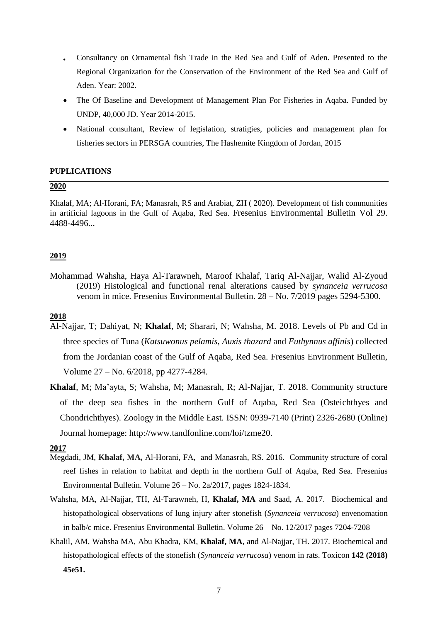- Consultancy on Ornamental fish Trade in the Red Sea and Gulf of Aden. Presented to the Regional Organization for the Conservation of the Environment of the Red Sea and Gulf of Aden. Year: 2002.
- The Of Baseline and Development of Management Plan For Fisheries in Aqaba. Funded by UNDP, 40,000 JD. Year 2014-2015.
- National consultant, Review of legislation, stratigies, policies and management plan for fisheries sectors in PERSGA countries, The Hashemite Kingdom of Jordan, 2015

## **PUPLICATIONS**

### **2020**

Khalaf, MA; Al-Horani, FA; Manasrah, RS and Arabiat, ZH ( 2020). Development of fish communities in artificial lagoons in the Gulf of Aqaba, Red Sea. Fresenius Environmental Bulletin Vol 29. 4488-4496...

## **2019**

Mohammad Wahsha, Haya Al-Tarawneh, Maroof Khalaf, Tariq Al-Najjar, Walid Al-Zyoud (2019) Histological and functional renal alterations caused by *synanceia verrucosa*  venom in mice. Fresenius Environmental Bulletin. 28 – No. 7/2019 pages 5294-5300.

# **2018**

- Al-Najjar, T; Dahiyat, N; **Khalaf**, M; Sharari, N; Wahsha, M. 2018. Levels of Pb and Cd in three species of Tuna (*Katsuwonus pelamis, Auxis thazard* and *Euthynnus affinis*) collected from the Jordanian coast of the Gulf of Aqaba, Red Sea. Fresenius Environment Bulletin, Volume 27 – No. 6/2018, pp 4277-4284.
- **Khalaf**, M; Ma'ayta, S; Wahsha, M; Manasrah, R; Al-Najjar, T. 2018. Community structure of the deep sea fishes in the northern Gulf of Aqaba, Red Sea (Osteichthyes and Chondrichthyes). Zoology in the Middle East. ISSN: 0939-7140 (Print) 2326-2680 (Online) Journal homepage: http://www.tandfonline.com/loi/tzme20.

### **2017**

- Megdadi, JM, **Khalaf, MA,** Al-Horani, FA, and Manasrah, RS. 2016. Community structure of coral reef fishes in relation to habitat and depth in the northern Gulf of Aqaba, Red Sea. Fresenius Environmental Bulletin. Volume 26 – No. 2a/2017, pages 1824-1834.
- Wahsha, MA, Al-Najjar, TH, Al-Tarawneh, H, **Khalaf, MA** and Saad, A. 2017. Biochemical and histopathological observations of lung injury after stonefish (*Synanceia verrucosa*) envenomation in balb/c mice. Fresenius Environmental Bulletin. Volume 26 – No. 12/2017 pages 7204-7208
- Khalil, AM, Wahsha MA, Abu Khadra, KM, **Khalaf, MA**, and Al-Najjar, TH. 2017. Biochemical and histopathological effects of the stonefish (*Synanceia verrucosa*) venom in rats. Toxicon **142 (2018) 45e51.**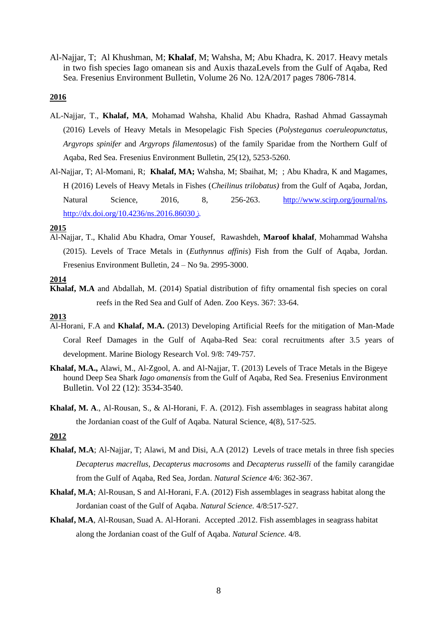Al-Najjar, T; Al Khushman, M; **Khalaf**, M; Wahsha, M; Abu Khadra, K. 2017. Heavy metals in two fish species Iago omanean sis and Auxis thazaLevels from the Gulf of Aqaba, Red Sea. Fresenius Environment Bulletin, Volume 26 No. 12A/2017 pages 7806-7814.

### **2016**

- AL-Najjar, T., **Khalaf, MA**, Mohamad Wahsha, Khalid Abu Khadra, Rashad Ahmad Gassaymah (2016) Levels of Heavy Metals in Mesopelagic Fish Species (*Polysteganus coeruleopunctatus, Argyrops spinifer* and *Argyrops filamentosus*) of the family Sparidae from the Northern Gulf of Aqaba, Red Sea. Fresenius Environment Bulletin, 25(12), 5253-5260.
- Al-Najjar, T; Al-Momani, R; **Khalaf, MA;** Wahsha, M; Sbaihat, M; ; Abu Khadra, K and Magames, H (2016) Levels of Heavy Metals in Fishes (*Cheilinus trilobatus)* from the Gulf of Aqaba, Jordan, Natural Science, 2016, 8, 256-263. [http://www.scirp.org/journal/ns,](http://www.scirp.org/journal/ns) http://dx.doi.org/10.4236/ns.2016.86030j.

#### **2015**

Al-Najjar, T., Khalid Abu Khadra, Omar Yousef, Rawashdeh, **Maroof khalaf**, Mohammad Wahsha (2015). Levels of Trace Metals in (*Euthynnus affinis*) Fish from the Gulf of Aqaba, Jordan. Fresenius Environment Bulletin, 24 – No 9a. 2995-3000.

#### **2014**

**Khalaf, M.A** and Abdallah, M. (2014) Spatial distribution of fifty ornamental fish species on coral reefs in the Red Sea and Gulf of Aden. Zoo Keys. 367: 33-64.

#### **2013**

- Al-Horani, F.A and **Khalaf, M.A.** (2013) Developing Artificial Reefs for the mitigation of Man-Made Coral Reef Damages in the Gulf of Aqaba-Red Sea: coral recruitments after 3.5 years of development. Marine Biology Research Vol. 9/8: 749-757.
- **Khalaf, M.A.,** Alawi, M., Al-Zgool, A. and Al-Najjar, T. (2013) Levels of Trace Metals in the Bigeye hound Deep Sea Shark *Iago omanensis* from the Gulf of Aqaba, Red Sea. Fresenius Environment Bulletin. Vol 22 (12): 3534-3540.
- **Khalaf, M. A**., Al-Rousan, S., & Al-Horani, F. A. (2012). Fish assemblages in seagrass habitat along the Jordanian coast of the Gulf of Aqaba. Natural Science, 4(8), 517-525.

### **2012**

- **Khalaf, M.A**; Al-Najjar, T; Alawi, M and Disi, A.A (2012) Levels of trace metals in three fish species *Decapterus macrellus*, *Decapterus macrosoms* and *Decapterus russelli* of the family carangidae from the Gulf of Aqaba, Red Sea, Jordan. *Natural Science* 4/6: 362-367.
- **Khalaf, M.A**; Al-Rousan, S and Al-Horani, F.A. (2012) Fish assemblages in seagrass habitat along the Jordanian coast of the Gulf of Aqaba. *Natural Science.* 4/8:517-527.
- **Khalaf, M.A**, Al-Rousan, Suad A. Al-Horani. Accepted .2012. Fish assemblages in seagrass habitat along the Jordanian coast of the Gulf of Aqaba. *Natural Science.* 4/8.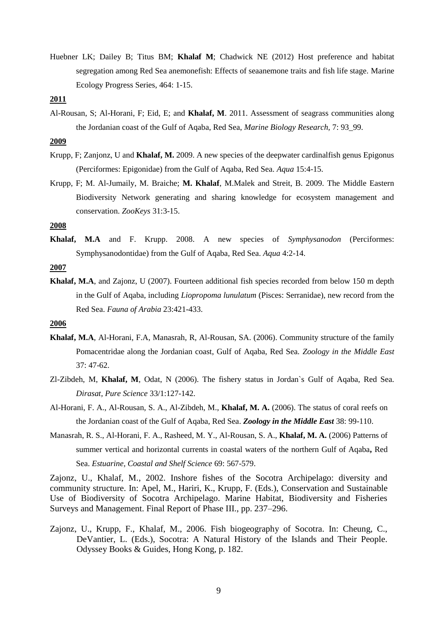Huebner LK; Dailey B; Titus BM; **Khalaf M**; Chadwick NE (2012) Host preference and habitat segregation among Red Sea anemonefish: Effects of seaanemone traits and fish life stage. Marine Ecology Progress Series, 464: 1-15.

### **2011**

Al-Rousan, S; Al-Horani, F; Eid, E; and **Khalaf, M**. 2011. Assessment of seagrass communities along the Jordanian coast of the Gulf of Aqaba, Red Sea, *Marine Biology Research,* 7: 93\_99.

## **2009**

- Krupp, F; Zanjonz, U and **Khalaf, M.** 2009. A new species of the deepwater cardinalfish genus Epigonus (Perciformes: Epigonidae) from the Gulf of Aqaba, Red Sea. *Aqua* 15:4-15.
- Krupp, F; M. Al-Jumaily, M. Braiche; **M. Khalaf**, M.Malek and Streit, B. 2009. The Middle Eastern Biodiversity Network generating and sharing knowledge for ecosystem management and conservation. *ZooKeys* 31:3-15.

# **2008**

**Khalaf, M.A** and F. Krupp. 2008. A new species of *Symphysanodon* (Perciformes: Symphysanodontidae) from the Gulf of Aqaba, Red Sea. *Aqua* 4:2-14.

#### **2007**

**Khalaf, M.A**, and Zajonz, U (2007). Fourteen additional fish species recorded from below 150 m depth in the Gulf of Aqaba, including *Liopropoma lunulatum* (Pisces: Serranidae), new record from the Red Sea. *Fauna of Arabia* 23:421-433.

# **2006**

- **Khalaf, M.A**, Al-Horani, F.A, Manasrah, R, Al-Rousan, SA. (2006). Community structure of the family Pomacentridae along the Jordanian coast, Gulf of Aqaba, Red Sea. *Zoology in the Middle East* 37: 47-62.
- Zl-Zibdeh, M, **Khalaf, M**, Odat, N (2006). The fishery status in Jordan`s Gulf of Aqaba, Red Sea. *Dirasat, Pure Science* 33/1:127-142.
- Al-Horani, F. A., Al-Rousan, S. A., Al-Zibdeh, M., **Khalaf, M. A.** (2006). The status of coral reefs on the Jordanian coast of the Gulf of Aqaba, Red Sea. *Zoology in the Middle East* 38: 99-110.
- Manasrah, R. S., Al-Horani, F. A., Rasheed, M. Y., Al-Rousan, S. A., **Khalaf, M. A.** (2006) Patterns of summer vertical and horizontal currents in coastal waters of the northern Gulf of Aqaba**,** Red Sea. *Estuarine, Coastal and Shelf Science* 69: 567-579.

Zajonz, U., Khalaf, M., 2002. Inshore fishes of the Socotra Archipelago: diversity and community structure. In: Apel, M., Hariri, K., Krupp, F. (Eds.), Conservation and Sustainable Use of Biodiversity of Socotra Archipelago. Marine Habitat, Biodiversity and Fisheries Surveys and Management. Final Report of Phase III., pp. 237–296.

Zajonz, U., Krupp, F., Khalaf, M., 2006. Fish biogeography of Socotra. In: Cheung, C., DeVantier, L. (Eds.), Socotra: A Natural History of the Islands and Their People. Odyssey Books & Guides, Hong Kong, p. 182.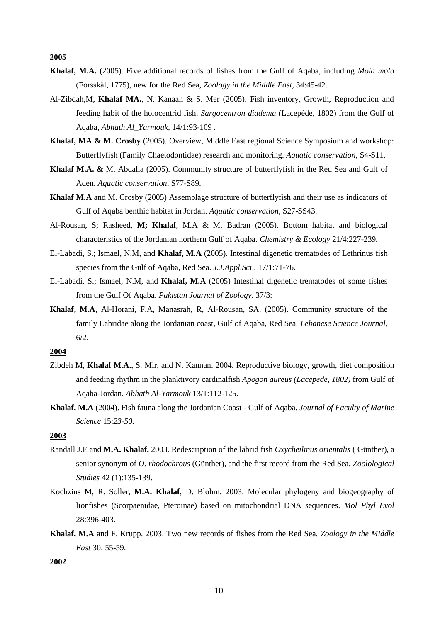**2005**

- **Khalaf, M.A.** (2005). Five additional records of fishes from the Gulf of Aqaba, including *Mola mola*  (Forsskäl, 1775), new for the Red Sea, *Zoology in the Middle East,* 34:45-42.
- Al-Zibdah,M, **Khalaf MA.**, N. Kanaan & S. Mer (2005). Fish inventory, Growth, Reproduction and feeding habit of the holocentrid fish, *Sargocentron diadema* (Lacepéde, 1802) from the Gulf of Aqaba, *Abhath Al\_Yarmouk,* 14/1:93-109 *.*
- **Khalaf, MA & M. Crosby** (2005). Overview, Middle East regional Science Symposium and workshop: Butterflyfish (Family Chaetodontidae) research and monitoring. *Aquatic conservation*, S4-S11.
- **Khalaf M.A. &** M. Abdalla (2005). Community structure of butterflyfish in the Red Sea and Gulf of Aden. *Aquatic conservation*, S77-S89.
- **Khalaf M.A** and M. Crosby (2005) Assemblage structure of butterflyfish and their use as indicators of Gulf of Aqaba benthic habitat in Jordan*. Aquatic conservation*, S27-SS43.
- Al-Rousan, S; Rasheed, **M; Khalaf**, M.A & M. Badran (2005). Bottom habitat and biological characteristics of the Jordanian northern Gulf of Aqaba. *Chemistry & Ecology* 21/4:227-239*.*
- El-Labadi, S.; Ismael, N.M, and **Khalaf, M.A** (2005). Intestinal digenetic trematodes of Lethrinus fish species from the Gulf of Aqaba, Red Sea. *J.J.Appl.Sci*., 17/1:71-76.
- El-Labadi, S.; Ismael, N.M, and **Khalaf, M.A** (2005) Intestinal digenetic trematodes of some fishes from the Gulf Of Aqaba. *Pakistan Journal of Zoology*. 37/3:
- **Khalaf, M.A**, Al-Horani, F.A, Manasrah, R, Al-Rousan, SA. (2005). Community structure of the family Labridae along the Jordanian coast, Gulf of Aqaba, Red Sea. *Lebanese Science Journal,* 6/2.

### **2004**

- Zibdeh M, **Khalaf M.A.**, S. Mir, and N. Kannan. 2004. Reproductive biology, growth, diet composition and feeding rhythm in the planktivory cardinalfish *Apogon aureus (Lacepede, 1802)* from Gulf of Aqaba-Jordan. *Abhath Al-Yarmouk* 13/1:112-125.
- **Khalaf, M.A** (2004). Fish fauna along the Jordanian Coast Gulf of Aqaba. *Journal of Faculty of Marine Science* 15:*23-50.*

## **2003**

- Randall J.E and **M.A. Khalaf.** 2003. Redescription of the labrid fish *Oxycheilinus orientalis* ( Günther), a senior synonym of *O. rhodochrous* (Günther), and the first record from the Red Sea. *Zoolological Studies* 42 (1):135-139.
- Kochzius M, R. Soller, **M.A. Khalaf**, D. Blohm. 2003. Molecular phylogeny and biogeography of lionfishes (Scorpaenidae, Pteroinae) based on mitochondrial DNA sequences. *Mol Phyl Evol* 28:396-403.
- **Khalaf, M.A** and F. Krupp. 2003. Two new records of fishes from the Red Sea. *Zoology in the Middle East* 30: 55-59.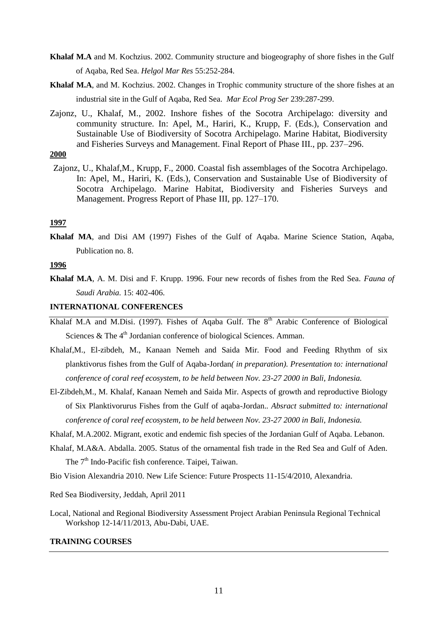- **Khalaf M.A** and M. Kochzius. 2002. Community structure and biogeography of shore fishes in the Gulf of Aqaba, Red Sea. *Helgol Mar Res* 55:252-284.
- **Khalaf M.A**, and M. Kochzius. 2002. Changes in Trophic community structure of the shore fishes at an industrial site in the Gulf of Aqaba, Red Sea. *Mar Ecol Prog Ser* 239:287-299.
- Zajonz, U., Khalaf, M., 2002. Inshore fishes of the Socotra Archipelago: diversity and community structure. In: Apel, M., Hariri, K., Krupp, F. (Eds.), Conservation and Sustainable Use of Biodiversity of Socotra Archipelago. Marine Habitat, Biodiversity and Fisheries Surveys and Management. Final Report of Phase III., pp. 237–296.
- **2000**
- Zajonz, U., Khalaf,M., Krupp, F., 2000. Coastal fish assemblages of the Socotra Archipelago. In: Apel, M., Hariri, K. (Eds.), Conservation and Sustainable Use of Biodiversity of Socotra Archipelago. Marine Habitat, Biodiversity and Fisheries Surveys and Management. Progress Report of Phase III, pp. 127–170.

### **1997**

**Khalaf MA**, and Disi AM (1997) Fishes of the Gulf of Aqaba. Marine Science Station, Aqaba, Publication no. 8.

## **1996**

**Khalaf M.A**, A. M. Disi and F. Krupp. 1996. Four new records of fishes from the Red Sea. *Fauna of Saudi Arabia.* 15: 402-406.

### **INTERNATIONAL CONFERENCES**

- Khalaf M.A and M.Disi. (1997). Fishes of Agaba Gulf. The  $8<sup>th</sup>$  Arabic Conference of Biological Sciences & The  $4<sup>th</sup>$  Jordanian conference of biological Sciences. Amman.
- Khalaf,M., El-zibdeh, M., Kanaan Nemeh and Saida Mir*.* Food and Feeding Rhythm of six planktivorus fishes from the Gulf of Aqaba-Jordan*( in preparation). Presentation to: international conference of coral reef ecosystem, to be held between Nov. 23-27 2000 in Bali, Indonesia.*
- El-Zibdeh,M., M. Khalaf, Kanaan Nemeh and Saida Mir. Aspects of growth and reproductive Biology of Six Planktivorurus Fishes from the Gulf of aqaba-Jordan.*. Absract submitted to: international conference of coral reef ecosystem, to be held between Nov. 23-27 2000 in Bali, Indonesia.*
- Khalaf, M.A.2002. Migrant, exotic and endemic fish species of the Jordanian Gulf of Aqaba. Lebanon.
- Khalaf, M.A&A. Abdalla. 2005. Status of the ornamental fish trade in the Red Sea and Gulf of Aden. The  $7<sup>th</sup>$  Indo-Pacific fish conference. Taipei, Taiwan.
- Bio Vision Alexandria 2010. New Life Science: Future Prospects 11-15/4/2010, Alexandria.

Red Sea Biodiversity, Jeddah, April 2011

Local, National and Regional Biodiversity Assessment Project Arabian Peninsula Regional Technical Workshop 12-14/11/2013, Abu-Dabi, UAE.

### **TRAINING COURSES**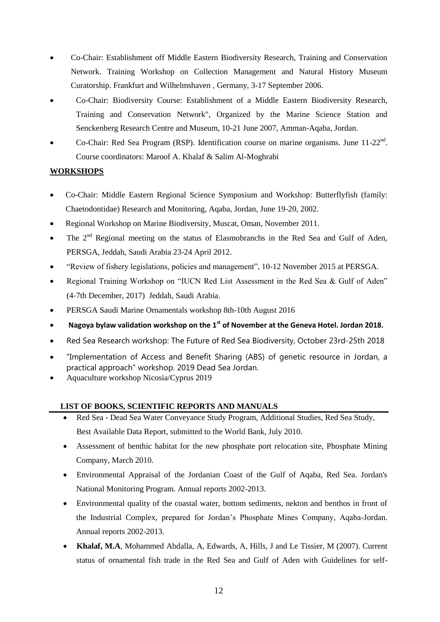- Co-Chair: Establishment off Middle Eastern Biodiversity Research, Training and Conservation Network. Training Workshop on Collection Management and Natural History Museum Curatorship. Frankfurt and Wilhelmshaven , Germany, 3-17 September 2006.
- Co-Chair: Biodiversity Course: Establishment of a Middle Eastern Biodiversity Research, Training and Conservation Network", Organized by the Marine Science Station and Senckenberg Research Centre and Museum, 10-21 June 2007, Amman-Aqaba, Jordan.
- Co-Chair: Red Sea Program (RSP). Identification course on marine organisms. June 11-22<sup>nd</sup>. Course coordinators: Maroof A. Khalaf & Salim Al-Moghrabi

# **WORKSHOPS**

- Co-Chair: Middle Eastern Regional Science Symposium and Workshop: Butterflyfish (family: Chaetodontidae) Research and Monitoring, Aqaba, Jordan, June 19-20, 2002.
- Regional Workshop on Marine Biodiversity, Muscat, Oman, November 2011.
- The 2<sup>nd</sup> Regional meeting on the status of Elasmobranchs in the Red Sea and Gulf of Aden, PERSGA, Jeddah, Saudi Arabia 23-24 April 2012.
- "Review of fishery legislations, policies and management", 10-12 November 2015 at PERSGA.
- Regional Training Workshop on "IUCN Red List Assessment in the Red Sea & Gulf of Aden" (4‐7th December, 2017) Jeddah, Saudi Arabia.
- PERSGA Saudi Marine Ornamentals workshop 8th-10th August 2016
- **Nagoya bylaw validation workshop on the 1st of November at the Geneva Hotel. Jordan 2018.**
- Red Sea Research workshop: The Future of Red Sea Biodiversity, October 23rd-25th 2018
- "Implementation of Access and Benefit Sharing (ABS) of genetic resource in Jordan, a practical approach" workshop. 2019 Dead Sea Jordan.
- Aquaculture workshop Nicosia/Cyprus 2019

# **LIST OF BOOKS, SCIENTIFIC REPORTS AND MANUALS**

- Red Sea Dead Sea Water Conveyance Study Program, Additional Studies, Red Sea Study, Best Available Data Report, submitted to the World Bank, July 2010.
- Assessment of benthic habitat for the new phosphate port relocation site, Phosphate Mining Company, March 2010.
- Environmental Appraisal of the Jordanian Coast of the Gulf of Aqaba, Red Sea. Jordan's National Monitoring Program. Annual reports 2002-2013.
- Environmental quality of the coastal water, bottom sediments, nekton and benthos in front of the Industrial Complex, prepared for Jordan's Phosphate Mines Company, Aqaba-Jordan. Annual reports 2002-2013.
- **Khalaf, M.A**, Mohammed Abdalla, A, Edwards, A, Hills, J and Le Tissier, M (2007). Current status of ornamental fish trade in the Red Sea and Gulf of Aden with Guidelines for self-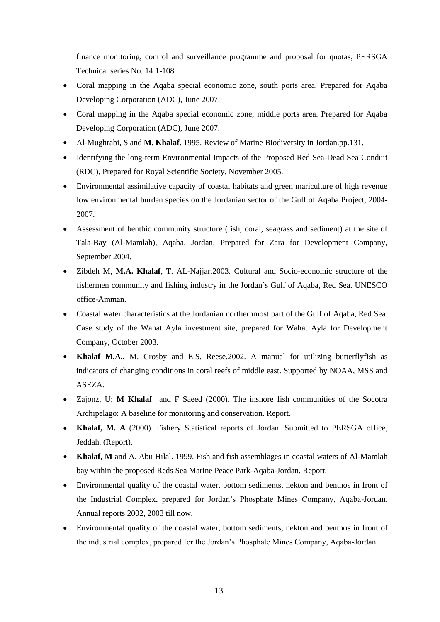finance monitoring, control and surveillance programme and proposal for quotas, PERSGA Technical series No. 14:1-108.

- Coral mapping in the Aqaba special economic zone, south ports area. Prepared for Aqaba Developing Corporation (ADC), June 2007.
- Coral mapping in the Aqaba special economic zone, middle ports area. Prepared for Aqaba Developing Corporation (ADC), June 2007.
- Al-Mughrabi, S and **M. Khalaf.** 1995. Review of Marine Biodiversity in Jordan.pp.131.
- Identifying the long-term Environmental Impacts of the Proposed Red Sea-Dead Sea Conduit (RDC), Prepared for Royal Scientific Society, November 2005.
- Environmental assimilative capacity of coastal habitats and green mariculture of high revenue low environmental burden species on the Jordanian sector of the Gulf of Aqaba Project, 2004- 2007.
- Assessment of benthic community structure (fish, coral, seagrass and sediment) at the site of Tala-Bay (Al-Mamlah), Aqaba, Jordan. Prepared for Zara for Development Company, September 2004.
- Zibdeh M, **M.A. Khalaf**, T. AL-Najjar.2003. Cultural and Socio-economic structure of the fishermen community and fishing industry in the Jordan`s Gulf of Aqaba, Red Sea. UNESCO office-Amman.
- Coastal water characteristics at the Jordanian northernmost part of the Gulf of Aqaba, Red Sea. Case study of the Wahat Ayla investment site, prepared for Wahat Ayla for Development Company, October 2003.
- **Khalaf M.A.,** M. Crosby and E.S. Reese.2002. A manual for utilizing butterflyfish as indicators of changing conditions in coral reefs of middle east. Supported by NOAA, MSS and ASEZA.
- Zajonz, U; **M Khalaf** and F Saeed (2000). The inshore fish communities of the Socotra Archipelago: A baseline for monitoring and conservation. Report.
- **Khalaf, M. A** (2000). Fishery Statistical reports of Jordan. Submitted to PERSGA office, Jeddah. (Report).
- **Khalaf, M** and A. Abu Hilal. 1999. Fish and fish assemblages in coastal waters of Al-Mamlah bay within the proposed Reds Sea Marine Peace Park-Aqaba-Jordan. Report.
- Environmental quality of the coastal water, bottom sediments, nekton and benthos in front of the Industrial Complex, prepared for Jordan's Phosphate Mines Company, Aqaba-Jordan. Annual reports 2002, 2003 till now.
- Environmental quality of the coastal water, bottom sediments, nekton and benthos in front of the industrial complex, prepared for the Jordan's Phosphate Mines Company, Aqaba-Jordan.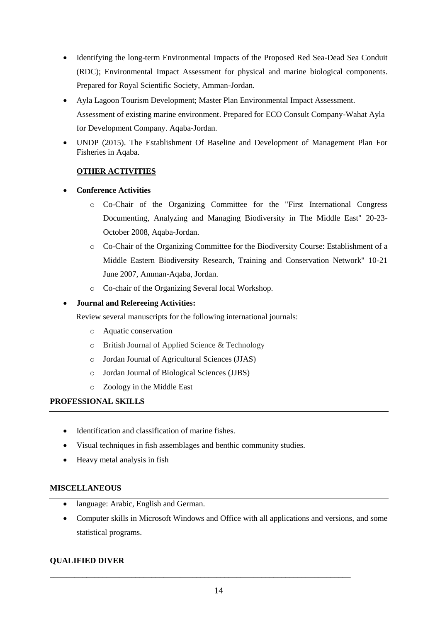- Identifying the long-term Environmental Impacts of the Proposed Red Sea-Dead Sea Conduit (RDC); Environmental Impact Assessment for physical and marine biological components. Prepared for Royal Scientific Society, Amman-Jordan.
- Ayla Lagoon Tourism Development; Master Plan Environmental Impact Assessment. Assessment of existing marine environment. Prepared for ECO Consult Company-Wahat Ayla for Development Company. Aqaba-Jordan.
- UNDP (2015). The Establishment Of Baseline and Development of Management Plan For Fisheries in Aqaba.

# **OTHER ACTIVITIES**

- **Conference Activities** 
	- o Co-Chair of the Organizing Committee for the "First International Congress Documenting, Analyzing and Managing Biodiversity in The Middle East" 20-23- October 2008, Aqaba-Jordan.
	- o Co-Chair of the Organizing Committee for the Biodiversity Course: Establishment of a Middle Eastern Biodiversity Research, Training and Conservation Network" 10-21 June 2007, Amman-Aqaba, Jordan.
	- o Co-chair of the Organizing Several local Workshop.

# **Journal and Refereeing Activities:**

Review several manuscripts for the following international journals:

- o Aquatic conservation
- o British Journal of Applied Science & Technology
- o Jordan Journal of Agricultural Sciences (JJAS)
- o Jordan Journal of Biological Sciences (JJBS)
- o Zoology in the Middle East

# **PROFESSIONAL SKILLS**

- Identification and classification of marine fishes.
- Visual techniques in fish assemblages and benthic community studies.
- Heavy metal analysis in fish

# **MISCELLANEOUS**

- language: Arabic, English and German.
- Computer skills in Microsoft Windows and Office with all applications and versions, and some statistical programs.

# **QUALIFIED DIVER**

\_\_\_\_\_\_\_\_\_\_\_\_\_\_\_\_\_\_\_\_\_\_\_\_\_\_\_\_\_\_\_\_\_\_\_\_\_\_\_\_\_\_\_\_\_\_\_\_\_\_\_\_\_\_\_\_\_\_\_\_\_\_\_\_\_\_\_\_\_\_\_\_\_\_